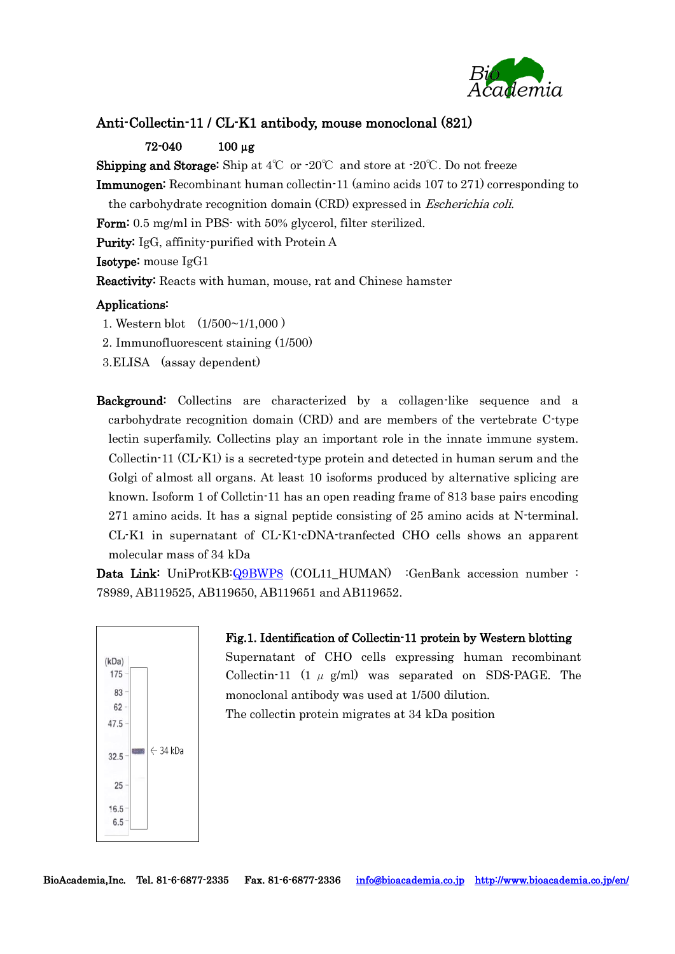

### Anti-Collectin-11 / CL-K1 antibody, mouse monoclonal (821)

#### 72-040 100 µg

**Shipping and Storage:** Ship at  $4^{\circ}$  or  $\cdot 20^{\circ}$  and store at  $\cdot 20^{\circ}$ . Do not freeze

Immunogen: Recombinant human collectin-11 (amino acids 107 to 271) corresponding to

the carbohydrate recognition domain (CRD) expressed in Escherichia coli.

Form: 0.5 mg/ml in PBS- with 50% glycerol, filter sterilized.

Purity: IgG, affinity-purified with Protein A

Isotype: mouse IgG1

Reactivity: Reacts with human, mouse, rat and Chinese hamster

#### Applications:

1. Western blot (1/500~1/1,000 )

- 2. Immunofluorescent staining (1/500)
- 3.ELISA (assay dependent)
- Background: Collectins are characterized by a collagen-like sequence and a carbohydrate recognition domain (CRD) and are members of the vertebrate C-type lectin superfamily. Collectins play an important role in the innate immune system. Collectin-11 (CL-K1) is a secreted-type protein and detected in human serum and the Golgi of almost all organs. At least 10 isoforms produced by alternative splicing are known. Isoform 1 of Collctin-11 has an open reading frame of 813 base pairs encoding 271 amino acids. It has a signal peptide consisting of 25 amino acids at N-terminal. CL-K1 in supernatant of CL-K1-cDNA-tranfected CHO cells shows an apparent molecular mass of 34 kDa

Data Link: UniProtKB[:Q9BWP8](https://www.uniprot.org/uniprot/Q9BWP8) (COL11\_HUMAN) :GenBank accession number : 78989, AB119525, AB119650, AB119651 and AB119652.



Fig.1. Identification of Collectin-11 protein by Western blotting Supernatant of CHO cells expressing human recombinant Collectin-11 (1  $\mu$  g/ml) was separated on SDS-PAGE. The monoclonal antibody was used at 1/500 dilution. The collectin protein migrates at 34 kDa position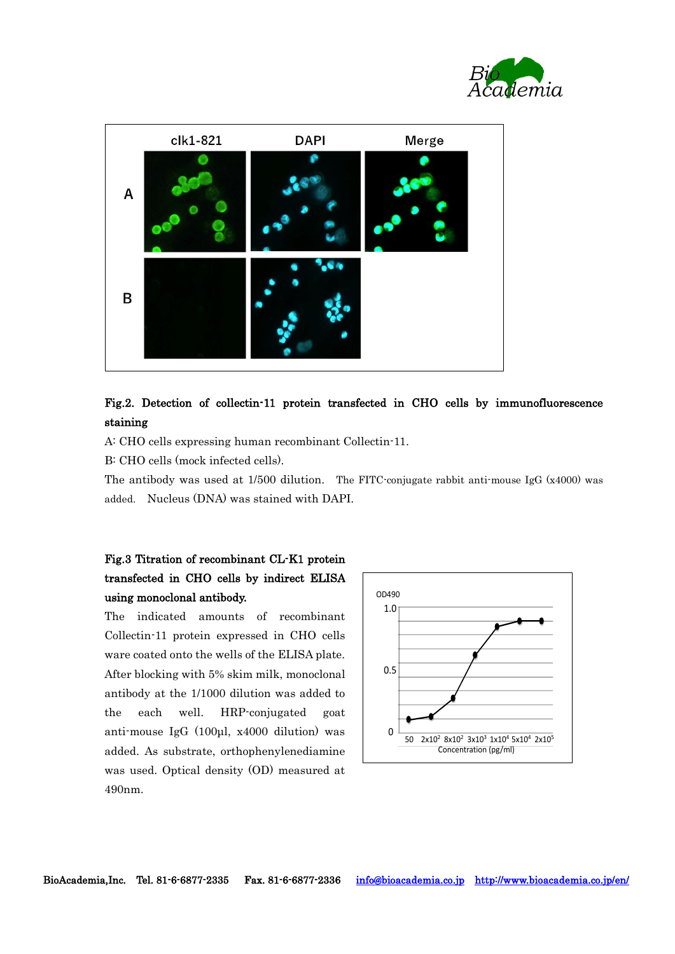



## Fig.2. Detection of collectin-11 protein transfected in CHO cells by immunofluorescence staining

A: CHO cells expressing human recombinant Collectin-11.

B: CHO cells (mock infected cells).

The antibody was used at 1/500 dilution. The FITC-conjugate rabbit anti-mouse IgG (x4000) was added. Nucleus (DNA) was stained with DAPI.

# Fig.3 Titration of recombinant CL-K1 protein transfected in CHO cells by indirect ELISA using monoclonal antibody.

The indicated amounts of recombinant Collectin-11 protein expressed in CHO cells ware coated onto the wells of the ELISA plate. After blocking with 5% skim milk, monoclonal antibody at the 1/1000 dilution was added to the each well. HRP-conjugated goat anti-mouse IgG (100μl, x4000 dilution) was added. As substrate, orthophenylenediamine was used. Optical density (OD) measured at 490nm.